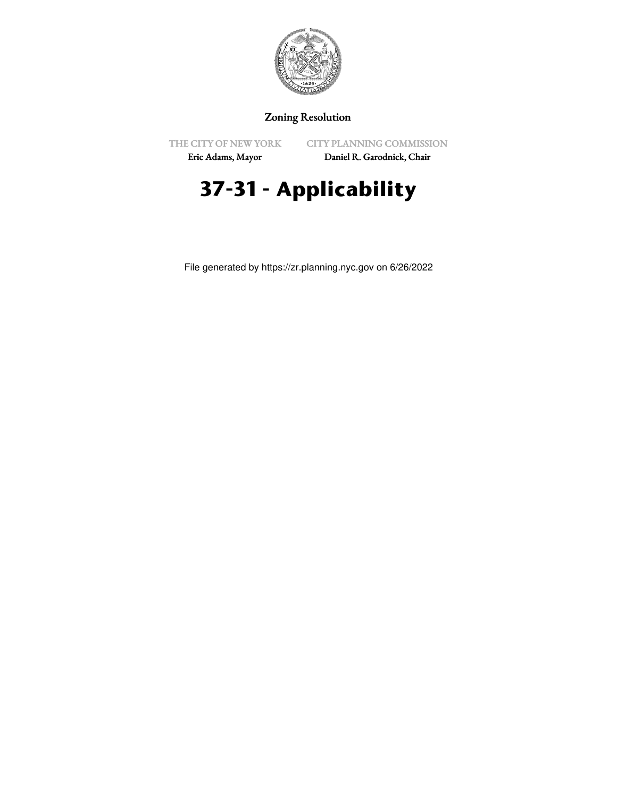

## Zoning Resolution

THE CITY OF NEW YORK

CITY PLANNING COMMISSION

Eric Adams, Mayor

Daniel R. Garodnick, Chair

## **37-31 - Applicability**

File generated by https://zr.planning.nyc.gov on 6/26/2022